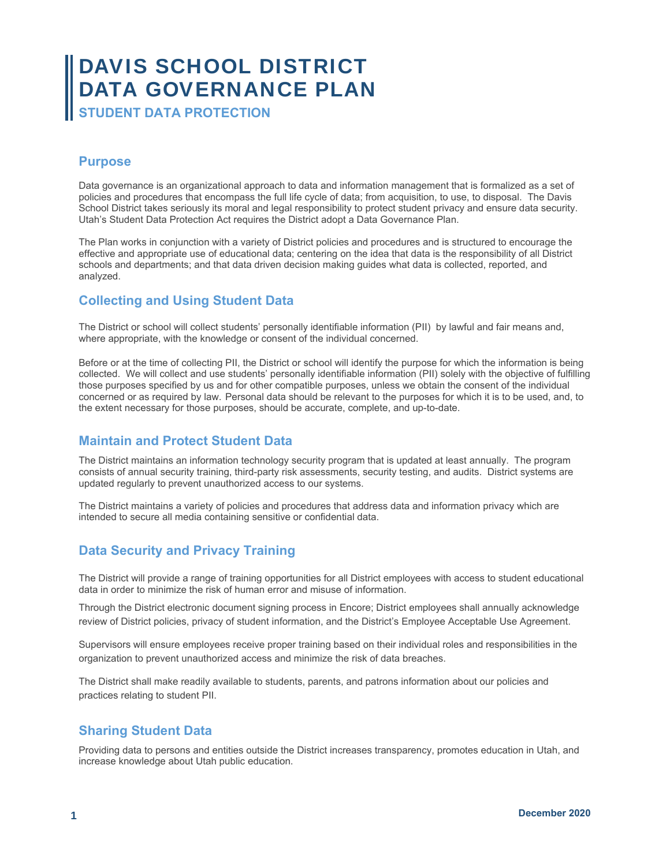# DAVIS SCHOOL DISTRICT DATA GOVERNANCE PLAN

**STUDENT DATA PROTECTION** 

### **Purpose**

Data governance is an organizational approach to data and information management that is formalized as a set of policies and procedures that encompass the full life cycle of data; from acquisition, to use, to disposal. The Davis School District takes seriously its moral and legal responsibility to protect student privacy and ensure data security. Utah's Student Data Protection Act requires the District adopt a Data Governance Plan.

The Plan works in conjunction with a variety of District policies and procedures and is structured to encourage the effective and appropriate use of educational data; centering on the idea that data is the responsibility of all District schools and departments; and that data driven decision making guides what data is collected, reported, and analyzed.

# **Collecting and Using Student Data**

The District or school will collect students' personally identifiable information (PII) by lawful and fair means and, where appropriate, with the knowledge or consent of the individual concerned.

Before or at the time of collecting PII, the District or school will identify the purpose for which the information is being collected. We will collect and use students' personally identifiable information (PII) solely with the objective of fulfilling those purposes specified by us and for other compatible purposes, unless we obtain the consent of the individual concerned or as required by law. Personal data should be relevant to the purposes for which it is to be used, and, to the extent necessary for those purposes, should be accurate, complete, and up-to-date.

# **Maintain and Protect Student Data**

The District maintains an information technology security program that is updated at least annually. The program consists of annual security training, third-party risk assessments, security testing, and audits. District systems are updated regularly to prevent unauthorized access to our systems.

The District maintains a variety of policies and procedures that address data and information privacy which are intended to secure all media containing sensitive or confidential data.

# **Data Security and Privacy Training**

The District will provide a range of training opportunities for all District employees with access to student educational data in order to minimize the risk of human error and misuse of information.

Through the District electronic document signing process in Encore; District employees shall annually acknowledge review of District policies, privacy of student information, and the District's Employee Acceptable Use Agreement.

Supervisors will ensure employees receive proper training based on their individual roles and responsibilities in the organization to prevent unauthorized access and minimize the risk of data breaches.

The District shall make readily available to students, parents, and patrons information about our policies and practices relating to student PII.

# **Sharing Student Data**

Providing data to persons and entities outside the District increases transparency, promotes education in Utah, and increase knowledge about Utah public education.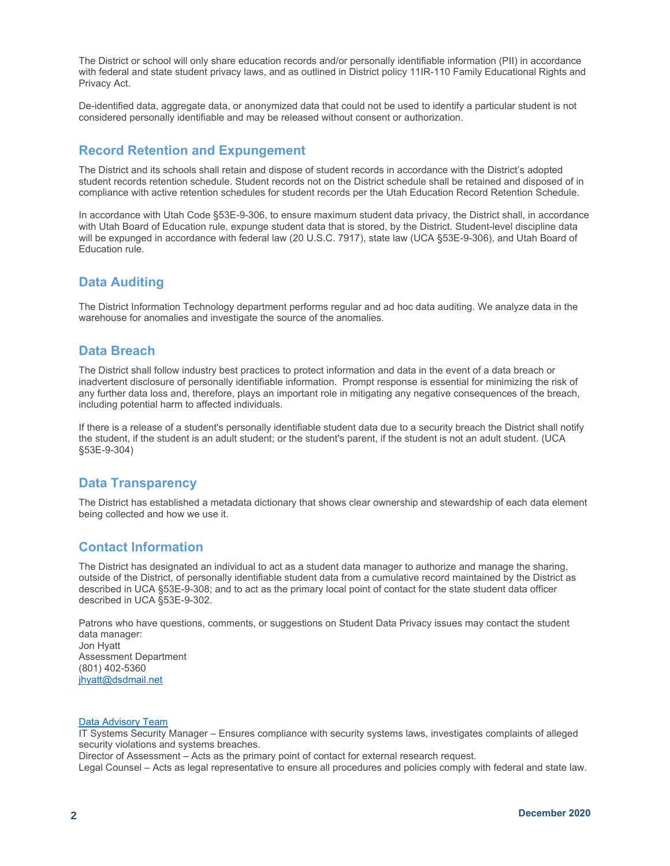The District or school will only share education records and/or personally identifiable information (PII) in accordance with federal and state student privacy laws, and as outlined in District policy 11IR-110 Family Educational Rights and Privacy Act.

De-identified data, aggregate data, or anonymized data that could not be used to identify a particular student is not considered personally identifiable and may be released without consent or authorization.

## **Record Retention and Expungement**

The District and its schools shall retain and dispose of student records in accordance with the District's adopted student records retention schedule. Student records not on the District schedule shall be retained and disposed of in compliance with active retention schedules for student records per the Utah Education Record Retention Schedule.

In accordance with Utah Code §53E-9-306, to ensure maximum student data privacy, the District shall, in accordance with Utah Board of Education rule, expunge student data that is stored, by the District. Student-level discipline data will be expunged in accordance with federal law (20 U.S.C. 7917), state law (UCA §53E-9-306), and Utah Board of Education rule.

### **Data Auditing**

The District Information Technology department performs regular and ad hoc data auditing. We analyze data in the warehouse for anomalies and investigate the source of the anomalies.

#### **Data Breach**

The District shall follow industry best practices to protect information and data in the event of a data breach or inadvertent disclosure of personally identifiable information. Prompt response is essential for minimizing the risk of any further data loss and, therefore, plays an important role in mitigating any negative consequences of the breach, including potential harm to affected individuals.

If there is a release of a student's personally identifiable student data due to a security breach the District shall notify the student, if the student is an adult student; or the student's parent, if the student is not an adult student. (UCA §53E-9-304)

#### **Data Transparency**

The District has established a metadata dictionary that shows clear ownership and stewardship of each data element being collected and how we use it.

#### **Contact Information**

The District has designated an individual to act as a student data manager to authorize and manage the sharing, outside of the District, of personally identifiable student data from a cumulative record maintained by the District as described in UCA §53E-9-308; and to act as the primary local point of contact for the state student data officer described in UCA §53E-9-302.

Patrons who have questions, comments, or suggestions on Student Data Privacy issues may contact the student data manager: Jon Hyatt Assessment Department (801) 402-5360 jhyatt@dsdmail.net

#### Data Advisory Team

IT Systems Security Manager – Ensures compliance with security systems laws, investigates complaints of alleged security violations and systems breaches.

Director of Assessment – Acts as the primary point of contact for external research request.

Legal Counsel – Acts as legal representative to ensure all procedures and policies comply with federal and state law.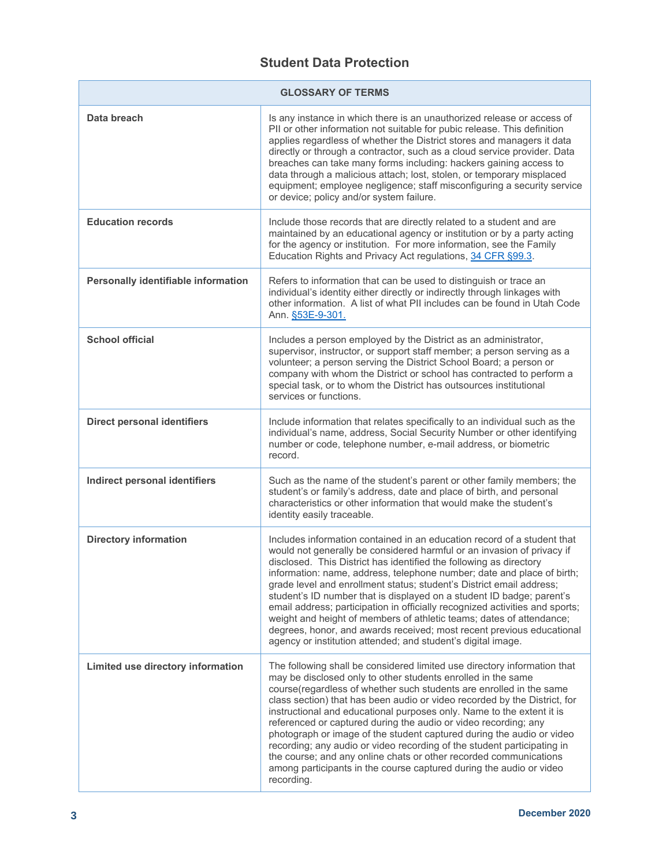# **Student Data Protection**

| <b>GLOSSARY OF TERMS</b>             |                                                                                                                                                                                                                                                                                                                                                                                                                                                                                                                                                                                                                                                                                                                                                        |  |
|--------------------------------------|--------------------------------------------------------------------------------------------------------------------------------------------------------------------------------------------------------------------------------------------------------------------------------------------------------------------------------------------------------------------------------------------------------------------------------------------------------------------------------------------------------------------------------------------------------------------------------------------------------------------------------------------------------------------------------------------------------------------------------------------------------|--|
| Data breach                          | Is any instance in which there is an unauthorized release or access of<br>PII or other information not suitable for pubic release. This definition<br>applies regardless of whether the District stores and managers it data<br>directly or through a contractor, such as a cloud service provider. Data<br>breaches can take many forms including: hackers gaining access to<br>data through a malicious attach; lost, stolen, or temporary misplaced<br>equipment; employee negligence; staff misconfiguring a security service<br>or device; policy and/or system failure.                                                                                                                                                                          |  |
| <b>Education records</b>             | Include those records that are directly related to a student and are<br>maintained by an educational agency or institution or by a party acting<br>for the agency or institution. For more information, see the Family<br>Education Rights and Privacy Act regulations, 34 CFR §99.3.                                                                                                                                                                                                                                                                                                                                                                                                                                                                  |  |
| Personally identifiable information  | Refers to information that can be used to distinguish or trace an<br>individual's identity either directly or indirectly through linkages with<br>other information. A list of what PII includes can be found in Utah Code<br>Ann. §53E-9-301.                                                                                                                                                                                                                                                                                                                                                                                                                                                                                                         |  |
| <b>School official</b>               | Includes a person employed by the District as an administrator,<br>supervisor, instructor, or support staff member; a person serving as a<br>volunteer; a person serving the District School Board; a person or<br>company with whom the District or school has contracted to perform a<br>special task, or to whom the District has outsources institutional<br>services or functions.                                                                                                                                                                                                                                                                                                                                                                |  |
| <b>Direct personal identifiers</b>   | Include information that relates specifically to an individual such as the<br>individual's name, address, Social Security Number or other identifying<br>number or code, telephone number, e-mail address, or biometric<br>record.                                                                                                                                                                                                                                                                                                                                                                                                                                                                                                                     |  |
| <b>Indirect personal identifiers</b> | Such as the name of the student's parent or other family members; the<br>student's or family's address, date and place of birth, and personal<br>characteristics or other information that would make the student's<br>identity easily traceable.                                                                                                                                                                                                                                                                                                                                                                                                                                                                                                      |  |
| <b>Directory information</b>         | Includes information contained in an education record of a student that<br>would not generally be considered harmful or an invasion of privacy if<br>disclosed. This District has identified the following as directory<br>information: name, address, telephone number; date and place of birth;<br>grade level and enrollment status; student's District email address;<br>student's ID number that is displayed on a student ID badge; parent's<br>email address; participation in officially recognized activities and sports;<br>weight and height of members of athletic teams; dates of attendance;<br>degrees, honor, and awards received; most recent previous educational<br>agency or institution attended; and student's digital image.    |  |
| Limited use directory information    | The following shall be considered limited use directory information that<br>may be disclosed only to other students enrolled in the same<br>course(regardless of whether such students are enrolled in the same<br>class section) that has been audio or video recorded by the District, for<br>instructional and educational purposes only. Name to the extent it is<br>referenced or captured during the audio or video recording; any<br>photograph or image of the student captured during the audio or video<br>recording; any audio or video recording of the student participating in<br>the course; and any online chats or other recorded communications<br>among participants in the course captured during the audio or video<br>recording. |  |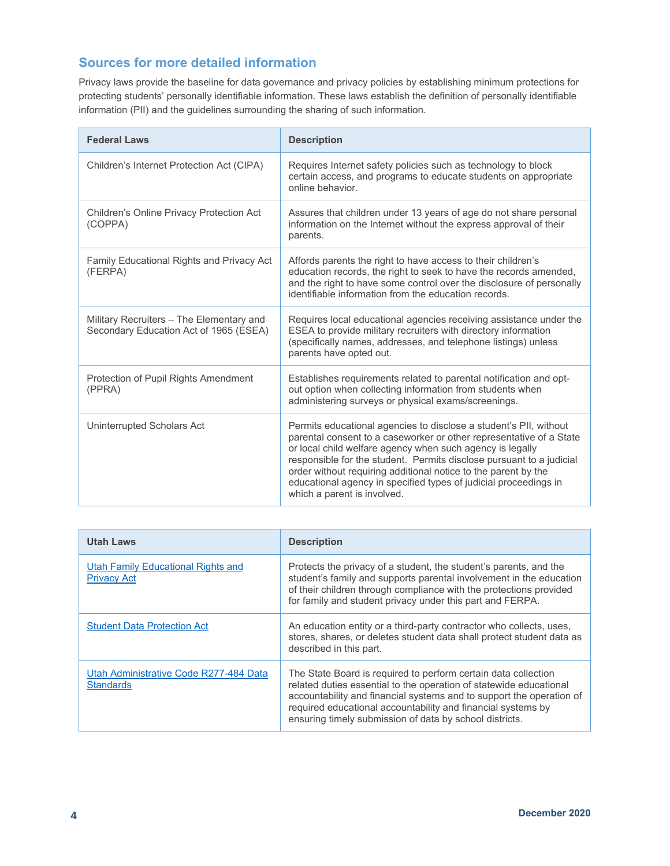# **Sources for more detailed information**

Privacy laws provide the baseline for data governance and privacy policies by establishing minimum protections for protecting students' personally identifiable information. These laws establish the definition of personally identifiable information (PII) and the guidelines surrounding the sharing of such information.

| <b>Federal Laws</b>                                                                | <b>Description</b>                                                                                                                                                                                                                                                                                                                                                                                                                                 |
|------------------------------------------------------------------------------------|----------------------------------------------------------------------------------------------------------------------------------------------------------------------------------------------------------------------------------------------------------------------------------------------------------------------------------------------------------------------------------------------------------------------------------------------------|
| Children's Internet Protection Act (CIPA)                                          | Requires Internet safety policies such as technology to block<br>certain access, and programs to educate students on appropriate<br>online behavior.                                                                                                                                                                                                                                                                                               |
| Children's Online Privacy Protection Act<br>(COPPA)                                | Assures that children under 13 years of age do not share personal<br>information on the Internet without the express approval of their<br>parents.                                                                                                                                                                                                                                                                                                 |
| Family Educational Rights and Privacy Act<br>(FERPA)                               | Affords parents the right to have access to their children's<br>education records, the right to seek to have the records amended,<br>and the right to have some control over the disclosure of personally<br>identifiable information from the education records.                                                                                                                                                                                  |
| Military Recruiters - The Elementary and<br>Secondary Education Act of 1965 (ESEA) | Requires local educational agencies receiving assistance under the<br>ESEA to provide military recruiters with directory information<br>(specifically names, addresses, and telephone listings) unless<br>parents have opted out.                                                                                                                                                                                                                  |
| Protection of Pupil Rights Amendment<br>(PPRA)                                     | Establishes requirements related to parental notification and opt-<br>out option when collecting information from students when<br>administering surveys or physical exams/screenings.                                                                                                                                                                                                                                                             |
| Uninterrupted Scholars Act                                                         | Permits educational agencies to disclose a student's PII, without<br>parental consent to a caseworker or other representative of a State<br>or local child welfare agency when such agency is legally<br>responsible for the student. Permits disclose pursuant to a judicial<br>order without requiring additional notice to the parent by the<br>educational agency in specified types of judicial proceedings in<br>which a parent is involved. |

| <b>Utah Laws</b>                                           | <b>Description</b>                                                                                                                                                                                                                                                                                                                      |
|------------------------------------------------------------|-----------------------------------------------------------------------------------------------------------------------------------------------------------------------------------------------------------------------------------------------------------------------------------------------------------------------------------------|
| Utah Family Educational Rights and<br><b>Privacy Act</b>   | Protects the privacy of a student, the student's parents, and the<br>student's family and supports parental involvement in the education<br>of their children through compliance with the protections provided<br>for family and student privacy under this part and FERPA.                                                             |
| <b>Student Data Protection Act</b>                         | An education entity or a third-party contractor who collects, uses,<br>stores, shares, or deletes student data shall protect student data as<br>described in this part.                                                                                                                                                                 |
| Utah Administrative Code R277-484 Data<br><b>Standards</b> | The State Board is required to perform certain data collection<br>related duties essential to the operation of statewide educational<br>accountability and financial systems and to support the operation of<br>required educational accountability and financial systems by<br>ensuring timely submission of data by school districts. |